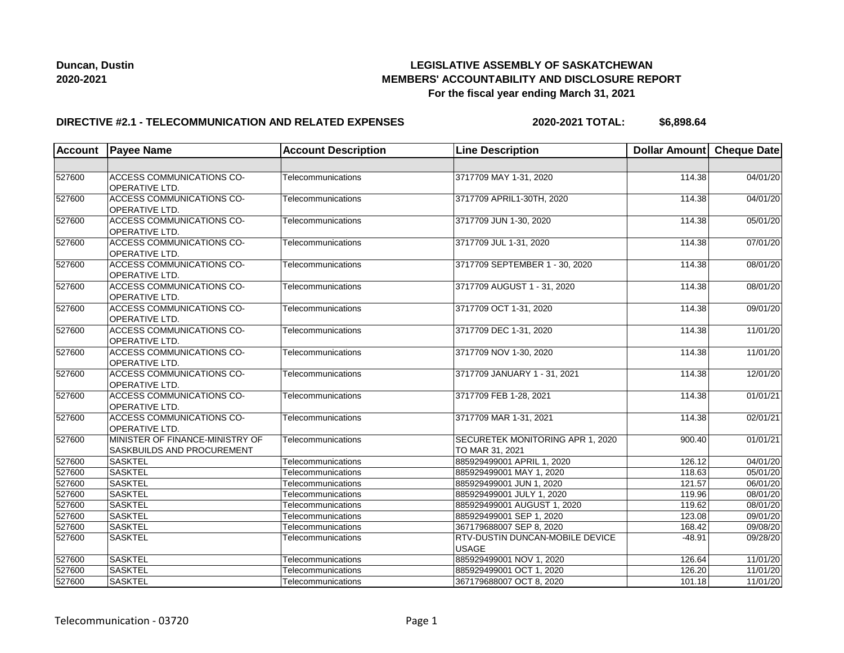

## **LEGISLATIVE ASSEMBLY OF SASKATCHEWAN MEMBERS' ACCOUNTABILITY AND DISCLOSURE REPORT For the fiscal year ending March 31, 2021**

### **DIRECTIVE #2.1 - TELECOMMUNICATION AND RELATED EXPENSES**

**2020-2021 TOTAL: \$6,898.64**

| <b>Account</b> | <b>Payee Name</b>                                             | <b>Account Description</b> | <b>Line Description</b>                                | Dollar Amount Cheque Date |          |
|----------------|---------------------------------------------------------------|----------------------------|--------------------------------------------------------|---------------------------|----------|
|                |                                                               |                            |                                                        |                           |          |
| 527600         | <b>ACCESS COMMUNICATIONS CO-</b><br><b>OPERATIVE LTD.</b>     | Telecommunications         | 3717709 MAY 1-31, 2020                                 | 114.38                    | 04/01/20 |
| 527600         | <b>ACCESS COMMUNICATIONS CO-</b><br>OPERATIVE LTD.            | Telecommunications         | 3717709 APRIL1-30TH, 2020                              | 114.38                    | 04/01/20 |
| 527600         | <b>ACCESS COMMUNICATIONS CO-</b><br>OPERATIVE LTD.            | Telecommunications         | 3717709 JUN 1-30, 2020                                 | 114.38                    | 05/01/20 |
| 527600         | <b>ACCESS COMMUNICATIONS CO-</b><br>OPERATIVE LTD.            | Telecommunications         | 3717709 JUL 1-31, 2020                                 | 114.38                    | 07/01/20 |
| 527600         | <b>ACCESS COMMUNICATIONS CO-</b><br><b>OPERATIVE LTD.</b>     | Telecommunications         | 3717709 SEPTEMBER 1 - 30, 2020                         | 114.38                    | 08/01/20 |
| 527600         | ACCESS COMMUNICATIONS CO-<br><b>OPERATIVE LTD.</b>            | Telecommunications         | 3717709 AUGUST 1 - 31, 2020                            | 114.38                    | 08/01/20 |
| 527600         | ACCESS COMMUNICATIONS CO-<br><b>OPERATIVE LTD.</b>            | Telecommunications         | 3717709 OCT 1-31, 2020                                 | 114.38                    | 09/01/20 |
| 527600         | <b>ACCESS COMMUNICATIONS CO-</b><br>OPERATIVE LTD.            | Telecommunications         | 3717709 DEC 1-31, 2020                                 | 114.38                    | 11/01/20 |
| 527600         | ACCESS COMMUNICATIONS CO-<br>OPERATIVE LTD.                   | Telecommunications         | 3717709 NOV 1-30, 2020                                 | 114.38                    | 11/01/20 |
| 527600         | ACCESS COMMUNICATIONS CO-<br>OPERATIVE LTD.                   | Telecommunications         | 3717709 JANUARY 1 - 31, 2021                           | 114.38                    | 12/01/20 |
| 527600         | <b>ACCESS COMMUNICATIONS CO-</b><br>OPERATIVE LTD.            | Telecommunications         | 3717709 FEB 1-28, 2021                                 | 114.38                    | 01/01/21 |
| 527600         | <b>ACCESS COMMUNICATIONS CO-</b><br>OPERATIVE LTD.            | Telecommunications         | 3717709 MAR 1-31, 2021                                 | 114.38                    | 02/01/21 |
| 527600         | MINISTER OF FINANCE-MINISTRY OF<br>SASKBUILDS AND PROCUREMENT | Telecommunications         | SECURETEK MONITORING APR 1, 2020<br>TO MAR 31, 2021    | 900.40                    | 01/01/21 |
| 527600         | <b>SASKTEL</b>                                                | Telecommunications         | 885929499001 APRIL 1, 2020                             | 126.12                    | 04/01/20 |
| 527600         | <b>SASKTEL</b>                                                | Telecommunications         | 885929499001 MAY 1, 2020                               | 118.63                    | 05/01/20 |
| 527600         | <b>SASKTEL</b>                                                | Telecommunications         | 885929499001 JUN 1, 2020                               | 121.57                    | 06/01/20 |
| 527600         | <b>SASKTEL</b>                                                | Telecommunications         | 885929499001 JULY 1, 2020                              | 119.96                    | 08/01/20 |
| 527600         | <b>SASKTEL</b>                                                | Telecommunications         | 885929499001 AUGUST 1, 2020                            | 119.62                    | 08/01/20 |
| 527600         | <b>SASKTEL</b>                                                | Telecommunications         | 885929499001 SEP 1, 2020                               | 123.08                    | 09/01/20 |
| 527600         | <b>SASKTEL</b>                                                | Telecommunications         | 367179688007 SEP 8, 2020                               | 168.42                    | 09/08/20 |
| 527600         | <b>SASKTEL</b>                                                | Telecommunications         | <b>RTV-DUSTIN DUNCAN-MOBILE DEVICE</b><br><b>USAGE</b> | $-48.91$                  | 09/28/20 |
| 527600         | <b>SASKTEL</b>                                                | Telecommunications         | 885929499001 NOV 1, 2020                               | 126.64                    | 11/01/20 |
| 527600         | <b>SASKTEL</b>                                                | Telecommunications         | 885929499001 OCT 1, 2020                               | 126.20                    | 11/01/20 |
| 527600         | <b>SASKTEL</b>                                                | Telecommunications         | 367179688007 OCT 8, 2020                               | 101.18                    | 11/01/20 |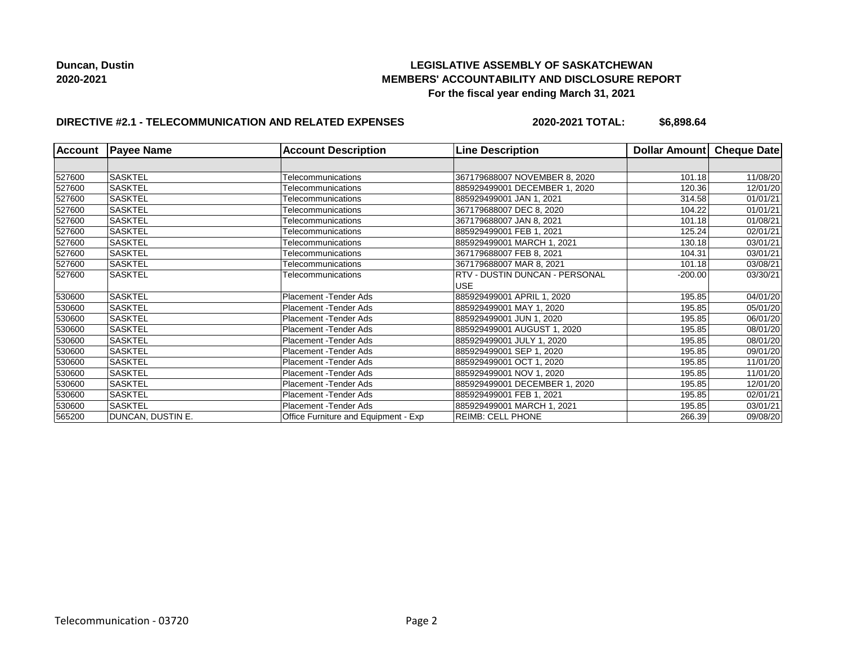## **LEGISLATIVE ASSEMBLY OF SASKATCHEWAN MEMBERS' ACCOUNTABILITY AND DISCLOSURE REPORT For the fiscal year ending March 31, 2021**

# **DIRECTIVE #2.1 - TELECOMMUNICATION AND RELATED EXPENSES**

**2020-2021 TOTAL: \$6,898.64**

| <b>Account</b> | <b>Payee Name</b> | <b>Account Description</b>           | <b>Line Description</b>               | Dollar Amount | Cheque Date |
|----------------|-------------------|--------------------------------------|---------------------------------------|---------------|-------------|
|                |                   |                                      |                                       |               |             |
| 527600         | <b>SASKTEL</b>    | Telecommunications                   | 367179688007 NOVEMBER 8, 2020         | 101.18        | 11/08/20    |
| 527600         | <b>SASKTEL</b>    | Telecommunications                   | 885929499001 DECEMBER 1, 2020         | 120.36        | 12/01/20    |
| 527600         | <b>SASKTEL</b>    | Telecommunications                   | 885929499001 JAN 1, 2021              | 314.58        | 01/01/21    |
| 527600         | <b>SASKTEL</b>    | Telecommunications                   | 367179688007 DEC 8, 2020              | 104.22        | 01/01/21    |
| 527600         | <b>SASKTEL</b>    | Telecommunications                   | 367179688007 JAN 8, 2021              | 101.18        | 01/08/21    |
| 527600         | <b>SASKTEL</b>    | <b>Telecommunications</b>            | 885929499001 FEB 1, 2021              | 125.24        | 02/01/21    |
| 527600         | <b>SASKTEL</b>    | Telecommunications                   | 885929499001 MARCH 1, 2021            | 130.18        | 03/01/21    |
| 527600         | <b>SASKTEL</b>    | Telecommunications                   | 367179688007 FEB 8, 2021              | 104.31        | 03/01/21    |
| 527600         | SASKTEL           | Telecommunications                   | 367179688007 MAR 8, 2021              | 101.18        | 03/08/21    |
| 527600         | SASKTEL           | Telecommunications                   | <b>RTV - DUSTIN DUNCAN - PERSONAL</b> | $-200.00$     | 03/30/21    |
|                |                   |                                      | <b>USE</b>                            |               |             |
| 530600         | <b>SASKTEL</b>    | Placement - Tender Ads               | 885929499001 APRIL 1, 2020            | 195.85        | 04/01/20    |
| 530600         | <b>SASKTEL</b>    | Placement - Tender Ads               | 885929499001 MAY 1, 2020              | 195.85        | 05/01/20    |
| 530600         | <b>SASKTEL</b>    | Placement - Tender Ads               | 885929499001 JUN 1, 2020              | 195.85        | 06/01/20    |
| 530600         | <b>SASKTEL</b>    | Placement - Tender Ads               | 885929499001 AUGUST 1, 2020           | 195.85        | 08/01/20    |
| 530600         | <b>SASKTEL</b>    | Placement - Tender Ads               | 885929499001 JULY 1, 2020             | 195.85        | 08/01/20    |
| 530600         | <b>SASKTEL</b>    | Placement - Tender Ads               | 885929499001 SEP 1, 2020              | 195.85        | 09/01/20    |
| 530600         | SASKTEL           | Placement - Tender Ads               | 885929499001 OCT 1, 2020              | 195.85        | 11/01/20    |
| 530600         | <b>SASKTEL</b>    | Placement - Tender Ads               | 885929499001 NOV 1, 2020              | 195.85        | 11/01/20    |
| 530600         | <b>SASKTEL</b>    | Placement - Tender Ads               | 885929499001 DECEMBER 1, 2020         | 195.85        | 12/01/20    |
| 530600         | <b>SASKTEL</b>    | Placement - Tender Ads               | 885929499001 FEB 1, 2021              | 195.85        | 02/01/21    |
| 530600         | <b>SASKTEL</b>    | Placement - Tender Ads               | 885929499001 MARCH 1, 2021            | 195.85        | 03/01/21    |
| 565200         | DUNCAN, DUSTIN E. | Office Furniture and Equipment - Exp | REIMB: CELL PHONE                     | 266.39        | 09/08/20    |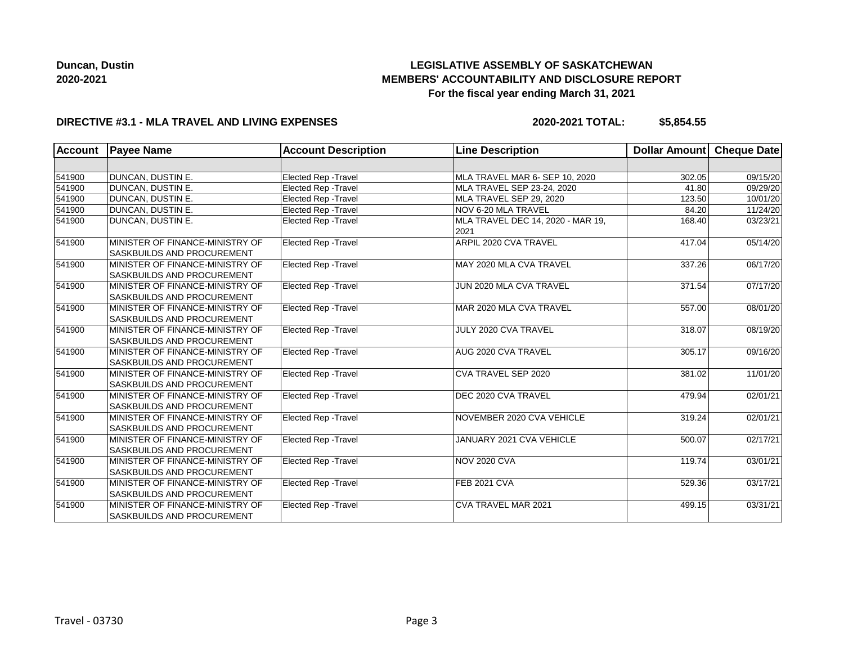# **LEGISLATIVE ASSEMBLY OF SASKATCHEWAN MEMBERS' ACCOUNTABILITY AND DISCLOSURE REPORT For the fiscal year ending March 31, 2021**

## **DIRECTIVE #3.1 - MLA TRAVEL AND LIVING EXPENSES**

**2020-2021 TOTAL: \$5,854.55**

| <b>Account</b> | <b>Payee Name</b>                                                    | <b>Account Description</b>  | <b>Line Description</b>                   | Dollar Amount | Cheque Date |
|----------------|----------------------------------------------------------------------|-----------------------------|-------------------------------------------|---------------|-------------|
|                |                                                                      |                             |                                           |               |             |
| 541900         | DUNCAN, DUSTIN E.                                                    | Elected Rep - Travel        | MLA TRAVEL MAR 6- SEP 10, 2020            | 302.05        | 09/15/20    |
| 541900         | DUNCAN, DUSTIN E.                                                    | <b>Elected Rep - Travel</b> | MLA TRAVEL SEP 23-24, 2020                | 41.80         | 09/29/20    |
| 541900         | <b>DUNCAN, DUSTIN E.</b>                                             | Elected Rep - Travel        | MLA TRAVEL SEP 29, 2020                   | 123.50        | 10/01/20    |
| 541900         | DUNCAN, DUSTIN E.                                                    | <b>Elected Rep - Travel</b> | NOV 6-20 MLA TRAVEL                       | 84.20         | 11/24/20    |
| 541900         | DUNCAN, DUSTIN E.                                                    | <b>Elected Rep - Travel</b> | MLA TRAVEL DEC 14, 2020 - MAR 19,<br>2021 | 168.40        | 03/23/21    |
| 541900         | MINISTER OF FINANCE-MINISTRY OF<br><b>SASKBUILDS AND PROCUREMENT</b> | <b>Elected Rep - Travel</b> | ARPIL 2020 CVA TRAVEL                     | 417.04        | 05/14/20    |
| 541900         | MINISTER OF FINANCE-MINISTRY OF<br><b>SASKBUILDS AND PROCUREMENT</b> | Elected Rep - Travel        | MAY 2020 MLA CVA TRAVEL                   | 337.26        | 06/17/20    |
| 541900         | MINISTER OF FINANCE-MINISTRY OF<br><b>SASKBUILDS AND PROCUREMENT</b> | Elected Rep - Travel        | JUN 2020 MLA CVA TRAVEL                   | 371.54        | 07/17/20    |
| 541900         | MINISTER OF FINANCE-MINISTRY OF<br><b>SASKBUILDS AND PROCUREMENT</b> | <b>Elected Rep - Travel</b> | MAR 2020 MLA CVA TRAVEL                   | 557.00        | 08/01/20    |
| 541900         | MINISTER OF FINANCE-MINISTRY OF<br><b>SASKBUILDS AND PROCUREMENT</b> | Elected Rep - Travel        | JULY 2020 CVA TRAVEL                      | 318.07        | 08/19/20    |
| 541900         | MINISTER OF FINANCE-MINISTRY OF<br><b>SASKBUILDS AND PROCUREMENT</b> | <b>Elected Rep - Travel</b> | AUG 2020 CVA TRAVEL                       | 305.17        | 09/16/20    |
| 541900         | MINISTER OF FINANCE-MINISTRY OF<br><b>SASKBUILDS AND PROCUREMENT</b> | <b>Elected Rep - Travel</b> | CVA TRAVEL SEP 2020                       | 381.02        | 11/01/20    |
| 541900         | MINISTER OF FINANCE-MINISTRY OF<br><b>SASKBUILDS AND PROCUREMENT</b> | Elected Rep - Travel        | DEC 2020 CVA TRAVEL                       | 479.94        | 02/01/21    |
| 541900         | MINISTER OF FINANCE-MINISTRY OF<br><b>SASKBUILDS AND PROCUREMENT</b> | Elected Rep - Travel        | NOVEMBER 2020 CVA VEHICLE                 | 319.24        | 02/01/21    |
| 541900         | MINISTER OF FINANCE-MINISTRY OF<br><b>SASKBUILDS AND PROCUREMENT</b> | Elected Rep - Travel        | JANUARY 2021 CVA VEHICLE                  | 500.07        | 02/17/21    |
| 541900         | MINISTER OF FINANCE-MINISTRY OF<br><b>SASKBUILDS AND PROCUREMENT</b> | Elected Rep - Travel        | <b>NOV 2020 CVA</b>                       | 119.74        | 03/01/21    |
| 541900         | MINISTER OF FINANCE-MINISTRY OF<br><b>SASKBUILDS AND PROCUREMENT</b> | Elected Rep - Travel        | <b>FEB 2021 CVA</b>                       | 529.36        | 03/17/21    |
| 541900         | MINISTER OF FINANCE-MINISTRY OF<br><b>SASKBUILDS AND PROCUREMENT</b> | Elected Rep - Travel        | CVA TRAVEL MAR 2021                       | 499.15        | 03/31/21    |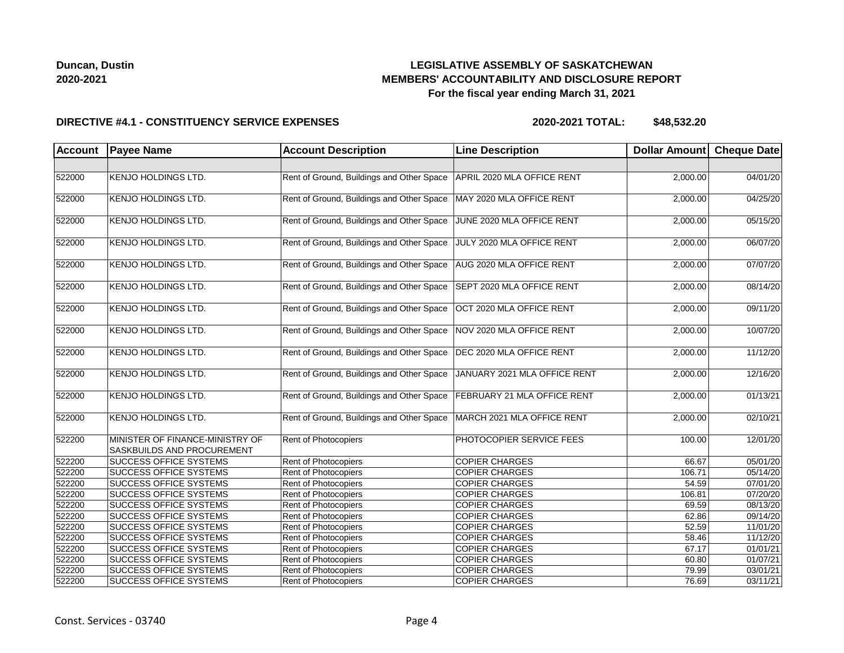## **LEGISLATIVE ASSEMBLY OF SASKATCHEWAN MEMBERS' ACCOUNTABILITY AND DISCLOSURE REPORT For the fiscal year ending March 31, 2021**

#### **DIRECTIVE #4.1 - CONSTITUENCY SERVICE EXPENSES**

| <b>Account</b> | <b>Payee Name</b>                                             | <b>Account Description</b>                | <b>Line Description</b>      | Dollar Amount Cheque Date |                       |
|----------------|---------------------------------------------------------------|-------------------------------------------|------------------------------|---------------------------|-----------------------|
|                |                                                               |                                           |                              |                           |                       |
| 522000         | <b>KENJO HOLDINGS LTD.</b>                                    | Rent of Ground, Buildings and Other Space | APRIL 2020 MLA OFFICE RENT   | 2,000.00                  | 04/01/20              |
| 522000         | <b>KENJO HOLDINGS LTD.</b>                                    | Rent of Ground, Buildings and Other Space | MAY 2020 MLA OFFICE RENT     | 2,000.00                  | 04/25/20              |
| 522000         | <b>KENJO HOLDINGS LTD.</b>                                    | Rent of Ground, Buildings and Other Space | JUNE 2020 MLA OFFICE RENT    | 2,000.00                  | 05/15/20              |
| 522000         | <b>KENJO HOLDINGS LTD.</b>                                    | Rent of Ground, Buildings and Other Space | JULY 2020 MLA OFFICE RENT    | 2,000.00                  | 06/07/20              |
| 522000         | <b>KENJO HOLDINGS LTD.</b>                                    | Rent of Ground, Buildings and Other Space | AUG 2020 MLA OFFICE RENT     | 2,000.00                  | 07/07/20              |
| 522000         | <b>KENJO HOLDINGS LTD.</b>                                    | Rent of Ground, Buildings and Other Space | SEPT 2020 MLA OFFICE RENT    | 2,000.00                  | 08/14/20              |
| 522000         | <b>KENJO HOLDINGS LTD.</b>                                    | Rent of Ground, Buildings and Other Space | OCT 2020 MLA OFFICE RENT     | 2,000.00                  | 09/11/20              |
| 522000         | <b>KENJO HOLDINGS LTD.</b>                                    | Rent of Ground, Buildings and Other Space | NOV 2020 MLA OFFICE RENT     | 2,000.00                  | 10/07/20              |
| 522000         | <b>KENJO HOLDINGS LTD.</b>                                    | Rent of Ground, Buildings and Other Space | DEC 2020 MLA OFFICE RENT     | 2,000.00                  | 11/12/20              |
| 522000         | <b>KENJO HOLDINGS LTD.</b>                                    | Rent of Ground, Buildings and Other Space | JANUARY 2021 MLA OFFICE RENT | 2,000.00                  | 12/16/20              |
| 522000         | <b>KENJO HOLDINGS LTD.</b>                                    | Rent of Ground, Buildings and Other Space | FEBRUARY 21 MLA OFFICE RENT  | 2,000.00                  | 01/13/21              |
| 522000         | <b>KENJO HOLDINGS LTD.</b>                                    | Rent of Ground, Buildings and Other Space | MARCH 2021 MLA OFFICE RENT   | 2,000.00                  | 02/10/21              |
| 522200         | MINISTER OF FINANCE-MINISTRY OF<br>SASKBUILDS AND PROCUREMENT | Rent of Photocopiers                      | PHOTOCOPIER SERVICE FEES     | 100.00                    | 12/01/20              |
| 522200         | <b>SUCCESS OFFICE SYSTEMS</b>                                 | Rent of Photocopiers                      | <b>COPIER CHARGES</b>        | 66.67                     | 05/01/20              |
| 522200         | <b>SUCCESS OFFICE SYSTEMS</b>                                 | Rent of Photocopiers                      | <b>COPIER CHARGES</b>        | 106.71                    | 05/14/20              |
| 522200         | <b>SUCCESS OFFICE SYSTEMS</b>                                 | Rent of Photocopiers                      | <b>COPIER CHARGES</b>        | 54.59                     | $\overline{07/01/20}$ |
| 522200         | <b>SUCCESS OFFICE SYSTEMS</b>                                 | Rent of Photocopiers                      | <b>COPIER CHARGES</b>        | 106.81                    | 07/20/20              |
| 522200         | <b>SUCCESS OFFICE SYSTEMS</b>                                 | Rent of Photocopiers                      | <b>COPIER CHARGES</b>        | 69.59                     | 08/13/20              |
| 522200         | <b>SUCCESS OFFICE SYSTEMS</b>                                 | Rent of Photocopiers                      | <b>COPIER CHARGES</b>        | 62.86                     | 09/14/20              |
| 522200         | <b>SUCCESS OFFICE SYSTEMS</b>                                 | Rent of Photocopiers                      | <b>COPIER CHARGES</b>        | 52.59                     | 11/01/20              |
| 522200         | <b>SUCCESS OFFICE SYSTEMS</b>                                 | Rent of Photocopiers                      | <b>COPIER CHARGES</b>        | 58.46                     | 11/12/20              |
| 522200         | <b>SUCCESS OFFICE SYSTEMS</b>                                 | Rent of Photocopiers                      | <b>COPIER CHARGES</b>        | 67.17                     | 01/01/21              |
| 522200         | <b>SUCCESS OFFICE SYSTEMS</b>                                 | Rent of Photocopiers                      | <b>COPIER CHARGES</b>        | 60.80                     | 01/07/21              |
| 522200         | <b>SUCCESS OFFICE SYSTEMS</b>                                 | Rent of Photocopiers                      | <b>COPIER CHARGES</b>        | 79.99                     | 03/01/21              |
| 522200         | <b>SUCCESS OFFICE SYSTEMS</b>                                 | Rent of Photocopiers                      | <b>COPIER CHARGES</b>        | 76.69                     | 03/11/21              |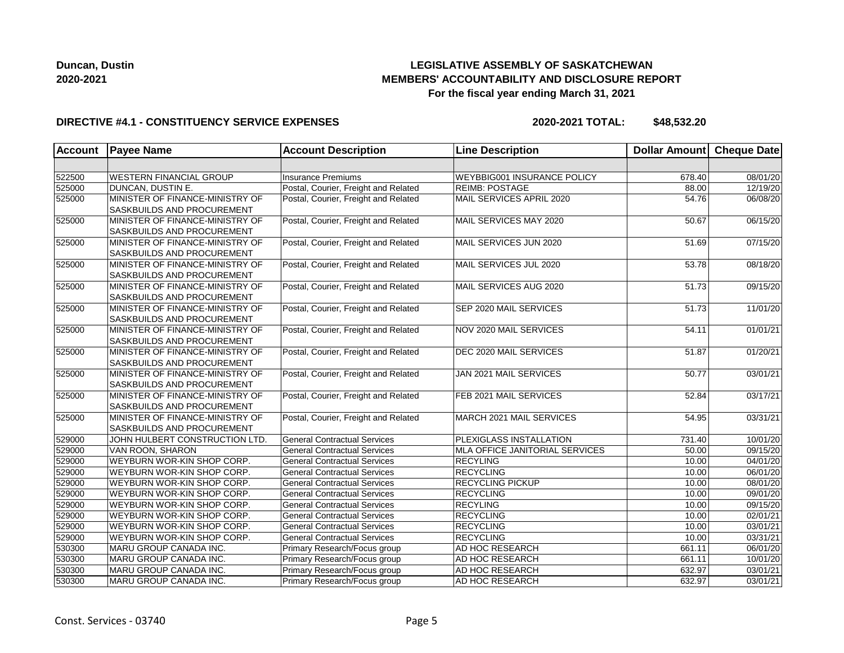# **LEGISLATIVE ASSEMBLY OF SASKATCHEWAN MEMBERS' ACCOUNTABILITY AND DISCLOSURE REPORT For the fiscal year ending March 31, 2021**

### **DIRECTIVE #4.1 - CONSTITUENCY SERVICE EXPENSES**

| Account | <b>Payee Name</b>                                                    | <b>Account Description</b>           | <b>Line Description</b>        | Dollar Amount Cheque Date |          |
|---------|----------------------------------------------------------------------|--------------------------------------|--------------------------------|---------------------------|----------|
|         |                                                                      |                                      |                                |                           |          |
| 522500  | <b>WESTERN FINANCIAL GROUP</b>                                       | <b>Insurance Premiums</b>            | WEYBBIG001 INSURANCE POLICY    | 678.40                    | 08/01/20 |
| 525000  | DUNCAN, DUSTIN E.                                                    | Postal, Courier, Freight and Related | <b>REIMB: POSTAGE</b>          | 88.00                     | 12/19/20 |
| 525000  | MINISTER OF FINANCE-MINISTRY OF<br>SASKBUILDS AND PROCUREMENT        | Postal, Courier, Freight and Related | MAIL SERVICES APRIL 2020       | 54.76                     | 06/08/20 |
| 525000  | MINISTER OF FINANCE-MINISTRY OF<br>SASKBUILDS AND PROCUREMENT        | Postal, Courier, Freight and Related | MAIL SERVICES MAY 2020         | 50.67                     | 06/15/20 |
| 525000  | MINISTER OF FINANCE-MINISTRY OF<br>SASKBUILDS AND PROCUREMENT        | Postal, Courier, Freight and Related | MAIL SERVICES JUN 2020         | 51.69                     | 07/15/20 |
| 525000  | MINISTER OF FINANCE-MINISTRY OF<br><b>SASKBUILDS AND PROCUREMENT</b> | Postal, Courier, Freight and Related | MAIL SERVICES JUL 2020         | 53.78                     | 08/18/20 |
| 525000  | MINISTER OF FINANCE-MINISTRY OF<br>SASKBUILDS AND PROCUREMENT        | Postal, Courier, Freight and Related | MAIL SERVICES AUG 2020         | $\overline{51.73}$        | 09/15/20 |
| 525000  | MINISTER OF FINANCE-MINISTRY OF<br>SASKBUILDS AND PROCUREMENT        | Postal, Courier, Freight and Related | SEP 2020 MAIL SERVICES         | 51.73                     | 11/01/20 |
| 525000  | MINISTER OF FINANCE-MINISTRY OF<br>SASKBUILDS AND PROCUREMENT        | Postal, Courier, Freight and Related | NOV 2020 MAIL SERVICES         | 54.11                     | 01/01/21 |
| 525000  | MINISTER OF FINANCE-MINISTRY OF<br>SASKBUILDS AND PROCUREMENT        | Postal, Courier, Freight and Related | <b>DEC 2020 MAIL SERVICES</b>  | 51.87                     | 01/20/21 |
| 525000  | MINISTER OF FINANCE-MINISTRY OF<br>SASKBUILDS AND PROCUREMENT        | Postal, Courier, Freight and Related | JAN 2021 MAIL SERVICES         | 50.77                     | 03/01/21 |
| 525000  | MINISTER OF FINANCE-MINISTRY OF<br>SASKBUILDS AND PROCUREMENT        | Postal, Courier, Freight and Related | FEB 2021 MAIL SERVICES         | 52.84                     | 03/17/21 |
| 525000  | MINISTER OF FINANCE-MINISTRY OF<br>SASKBUILDS AND PROCUREMENT        | Postal, Courier, Freight and Related | MARCH 2021 MAIL SERVICES       | 54.95                     | 03/31/21 |
| 529000  | JOHN HULBERT CONSTRUCTION LTD.                                       | <b>General Contractual Services</b>  | PLEXIGLASS INSTALLATION        | 731.40                    | 10/01/20 |
| 529000  | VAN ROON, SHARON                                                     | <b>General Contractual Services</b>  | MLA OFFICE JANITORIAL SERVICES | 50.00                     | 09/15/20 |
| 529000  | WEYBURN WOR-KIN SHOP CORP.                                           | <b>General Contractual Services</b>  | <b>RECYLING</b>                | 10.00                     | 04/01/20 |
| 529000  | WEYBURN WOR-KIN SHOP CORP.                                           | <b>General Contractual Services</b>  | <b>RECYCLING</b>               | 10.00                     | 06/01/20 |
| 529000  | WEYBURN WOR-KIN SHOP CORP.                                           | <b>General Contractual Services</b>  | <b>RECYCLING PICKUP</b>        | 10.00                     | 08/01/20 |
| 529000  | WEYBURN WOR-KIN SHOP CORP.                                           | <b>General Contractual Services</b>  | <b>RECYCLING</b>               | 10.00                     | 09/01/20 |
| 529000  | WEYBURN WOR-KIN SHOP CORP.                                           | <b>General Contractual Services</b>  | <b>RECYLING</b>                | 10.00                     | 09/15/20 |
| 529000  | WEYBURN WOR-KIN SHOP CORP.                                           | <b>General Contractual Services</b>  | <b>RECYCLING</b>               | 10.00                     | 02/01/21 |
| 529000  | WEYBURN WOR-KIN SHOP CORP.                                           | <b>General Contractual Services</b>  | <b>RECYCLING</b>               | 10.00                     | 03/01/21 |
| 529000  | WEYBURN WOR-KIN SHOP CORP.                                           | <b>General Contractual Services</b>  | <b>RECYCLING</b>               | 10.00                     | 03/31/21 |
| 530300  | MARU GROUP CANADA INC.                                               | Primary Research/Focus group         | AD HOC RESEARCH                | 661.11                    | 06/01/20 |
| 530300  | MARU GROUP CANADA INC.                                               | Primary Research/Focus group         | AD HOC RESEARCH                | 661.11                    | 10/01/20 |
| 530300  | MARU GROUP CANADA INC.                                               | Primary Research/Focus group         | AD HOC RESEARCH                | 632.97                    | 03/01/21 |
| 530300  | MARU GROUP CANADA INC.                                               | Primary Research/Focus group         | AD HOC RESEARCH                | 632.97                    | 03/01/21 |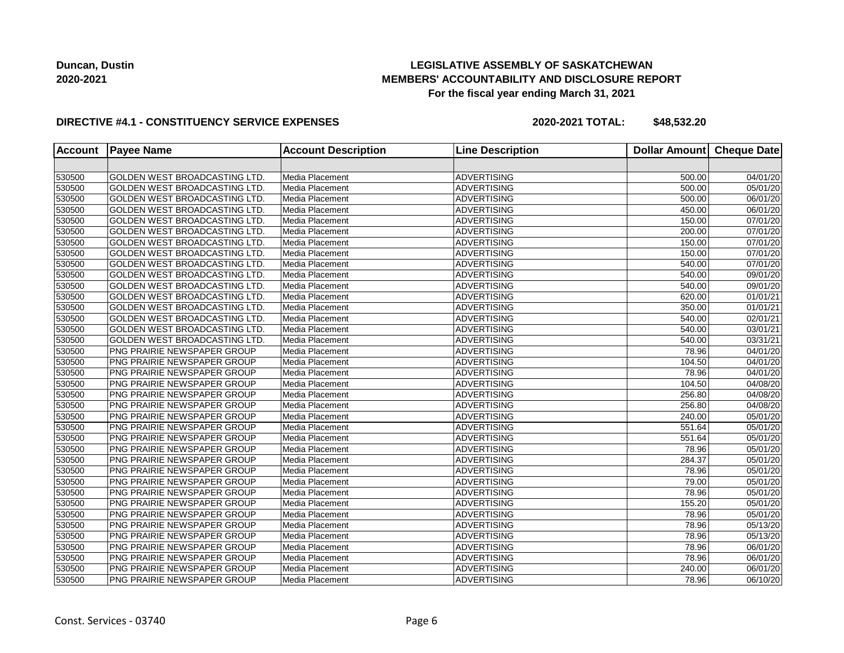## **LEGISLATIVE ASSEMBLY OF SASKATCHEWAN MEMBERS' ACCOUNTABILITY AND DISCLOSURE REPORT For the fiscal year ending March 31, 2021**

#### **DIRECTIVE #4.1 - CONSTITUENCY SERVICE EXPENSES**

| <b>Account</b> | <b>Payee Name</b>                    | <b>Account Description</b> | <b>Line Description</b> | Dollar Amount | <b>Cheque Date</b>    |
|----------------|--------------------------------------|----------------------------|-------------------------|---------------|-----------------------|
|                |                                      |                            |                         |               |                       |
| 530500         | GOLDEN WEST BROADCASTING LTD.        | Media Placement            | <b>ADVERTISING</b>      | 500.00        | 04/01/20              |
| 530500         | GOLDEN WEST BROADCASTING LTD.        | Media Placement            | <b>ADVERTISING</b>      | 500.00        | 05/01/20              |
| 530500         | <b>GOLDEN WEST BROADCASTING LTD.</b> | Media Placement            | <b>ADVERTISING</b>      | 500.00        | 06/01/20              |
| 530500         | <b>GOLDEN WEST BROADCASTING LTD.</b> | Media Placement            | <b>ADVERTISING</b>      | 450.00        | 06/01/20              |
| 530500         | GOLDEN WEST BROADCASTING LTD.        | Media Placement            | <b>ADVERTISING</b>      | 150.00        | 07/01/20              |
| 530500         | <b>GOLDEN WEST BROADCASTING LTD.</b> | Media Placement            | <b>ADVERTISING</b>      | 200.00        | 07/01/20              |
| 530500         | <b>GOLDEN WEST BROADCASTING LTD.</b> | Media Placement            | <b>ADVERTISING</b>      | 150.00        | 07/01/20              |
| 530500         | <b>GOLDEN WEST BROADCASTING LTD.</b> | Media Placement            | <b>ADVERTISING</b>      | 150.00        | 07/01/20              |
| 530500         | GOLDEN WEST BROADCASTING LTD.        | Media Placement            | <b>ADVERTISING</b>      | 540.00        | 07/01/20              |
| 530500         | GOLDEN WEST BROADCASTING LTD.        | Media Placement            | <b>ADVERTISING</b>      | 540.00        | 09/01/20              |
| 530500         | GOLDEN WEST BROADCASTING LTD.        | Media Placement            | <b>ADVERTISING</b>      | 540.00        | 09/01/20              |
| 530500         | <b>GOLDEN WEST BROADCASTING LTD.</b> | Media Placement            | <b>ADVERTISING</b>      | 620.00        | 01/01/21              |
| 530500         | <b>GOLDEN WEST BROADCASTING LTD.</b> | Media Placement            | <b>ADVERTISING</b>      | 350.00        | 01/01/21              |
| 530500         | <b>GOLDEN WEST BROADCASTING LTD.</b> | Media Placement            | <b>ADVERTISING</b>      | 540.00        | 02/01/21              |
| 530500         | <b>GOLDEN WEST BROADCASTING LTD.</b> | Media Placement            | <b>ADVERTISING</b>      | 540.00        | 03/01/21              |
| 530500         | <b>GOLDEN WEST BROADCASTING LTD.</b> | Media Placement            | <b>ADVERTISING</b>      | 540.00        | 03/31/21              |
| 530500         | PNG PRAIRIE NEWSPAPER GROUP          | Media Placement            | <b>ADVERTISING</b>      | 78.96         | 04/01/20              |
| 530500         | PNG PRAIRIE NEWSPAPER GROUP          | Media Placement            | <b>ADVERTISING</b>      | 104.50        | $\overline{04}/01/20$ |
| 530500         | PNG PRAIRIE NEWSPAPER GROUP          | Media Placement            | <b>ADVERTISING</b>      | 78.96         | 04/01/20              |
| 530500         | PNG PRAIRIE NEWSPAPER GROUP          | Media Placement            | <b>ADVERTISING</b>      | 104.50        | 04/08/20              |
| 530500         | PNG PRAIRIE NEWSPAPER GROUP          | Media Placement            | <b>ADVERTISING</b>      | 256.80        | 04/08/20              |
| 530500         | PNG PRAIRIE NEWSPAPER GROUP          | Media Placement            | <b>ADVERTISING</b>      | 256.80        | 04/08/20              |
| 530500         | PNG PRAIRIE NEWSPAPER GROUP          | Media Placement            | <b>ADVERTISING</b>      | 240.00        | 05/01/20              |
| 530500         | PNG PRAIRIE NEWSPAPER GROUP          | Media Placement            | <b>ADVERTISING</b>      | 551.64        | 05/01/20              |
| 530500         | PNG PRAIRIE NEWSPAPER GROUP          | Media Placement            | <b>ADVERTISING</b>      | 551.64        | 05/01/20              |
| 530500         | PNG PRAIRIE NEWSPAPER GROUP          | Media Placement            | <b>ADVERTISING</b>      | 78.96         | 05/01/20              |
| 530500         | PNG PRAIRIE NEWSPAPER GROUP          | Media Placement            | <b>ADVERTISING</b>      | 284.37        | 05/01/20              |
| 530500         | PNG PRAIRIE NEWSPAPER GROUP          | Media Placement            | <b>ADVERTISING</b>      | 78.96         | 05/01/20              |
| 530500         | PNG PRAIRIE NEWSPAPER GROUP          | Media Placement            | <b>ADVERTISING</b>      | 79.00         | 05/01/20              |
| 530500         | PNG PRAIRIE NEWSPAPER GROUP          | Media Placement            | <b>ADVERTISING</b>      | 78.96         | 05/01/20              |
| 530500         | PNG PRAIRIE NEWSPAPER GROUP          | Media Placement            | <b>ADVERTISING</b>      | 155.20        | 05/01/20              |
| 530500         | PNG PRAIRIE NEWSPAPER GROUP          | Media Placement            | <b>ADVERTISING</b>      | 78.96         | 05/01/20              |
| 530500         | PNG PRAIRIE NEWSPAPER GROUP          | Media Placement            | <b>ADVERTISING</b>      | 78.96         | 05/13/20              |
| 530500         | PNG PRAIRIE NEWSPAPER GROUP          | Media Placement            | <b>ADVERTISING</b>      | 78.96         | 05/13/20              |
| 530500         | PNG PRAIRIE NEWSPAPER GROUP          | Media Placement            | <b>ADVERTISING</b>      | 78.96         | 06/01/20              |
| 530500         | PNG PRAIRIE NEWSPAPER GROUP          | Media Placement            | <b>ADVERTISING</b>      | 78.96         | 06/01/20              |
| 530500         | PNG PRAIRIE NEWSPAPER GROUP          | Media Placement            | <b>ADVERTISING</b>      | 240.00        | 06/01/20              |
| 530500         | PNG PRAIRIE NEWSPAPER GROUP          | Media Placement            | <b>ADVERTISING</b>      | 78.96         | 06/10/20              |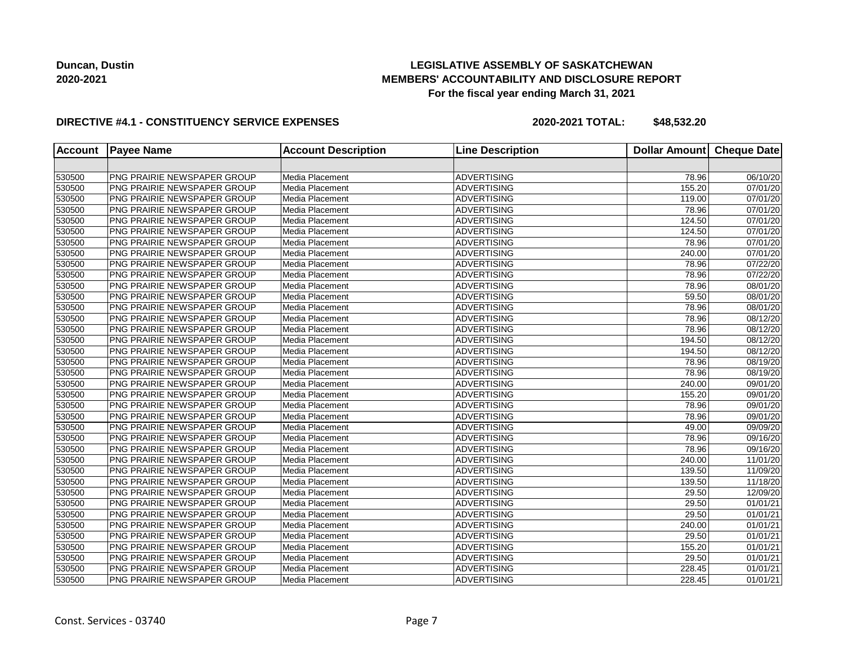## **LEGISLATIVE ASSEMBLY OF SASKATCHEWAN MEMBERS' ACCOUNTABILITY AND DISCLOSURE REPORT For the fiscal year ending March 31, 2021**

### **DIRECTIVE #4.1 - CONSTITUENCY SERVICE EXPENSES**

| <b>Account</b> | <b>Payee Name</b>                  | <b>Account Description</b> | <b>Line Description</b> | <b>Dollar Amount</b> | <b>Cheque Date</b>    |
|----------------|------------------------------------|----------------------------|-------------------------|----------------------|-----------------------|
|                |                                    |                            |                         |                      |                       |
| 530500         | PNG PRAIRIE NEWSPAPER GROUP        | Media Placement            | <b>ADVERTISING</b>      | 78.96                | 06/10/20              |
| 530500         | PNG PRAIRIE NEWSPAPER GROUP        | Media Placement            | <b>ADVERTISING</b>      | 155.20               | 07/01/20              |
| 530500         | PNG PRAIRIE NEWSPAPER GROUP        | Media Placement            | <b>ADVERTISING</b>      | 119.00               | 07/01/20              |
| 530500         | PNG PRAIRIE NEWSPAPER GROUP        | Media Placement            | <b>ADVERTISING</b>      | 78.96                | 07/01/20              |
| 530500         | <b>PNG PRAIRIE NEWSPAPER GROUP</b> | Media Placement            | <b>ADVERTISING</b>      | 124.50               | 07/01/20              |
| 530500         | <b>PNG PRAIRIE NEWSPAPER GROUP</b> | Media Placement            | <b>ADVERTISING</b>      | 124.50               | 07/01/20              |
| 530500         | PNG PRAIRIE NEWSPAPER GROUP        | Media Placement            | <b>ADVERTISING</b>      | 78.96                | 07/01/20              |
| 530500         | <b>PNG PRAIRIE NEWSPAPER GROUP</b> | Media Placement            | <b>ADVERTISING</b>      | 240.00               | 07/01/20              |
| 530500         | PNG PRAIRIE NEWSPAPER GROUP        | Media Placement            | <b>ADVERTISING</b>      | 78.96                | 07/22/20              |
| 530500         | PNG PRAIRIE NEWSPAPER GROUP        | Media Placement            | <b>ADVERTISING</b>      | 78.96                | $\overline{07/22/20}$ |
| 530500         | PNG PRAIRIE NEWSPAPER GROUP        | Media Placement            | <b>ADVERTISING</b>      | 78.96                | 08/01/20              |
| 530500         | PNG PRAIRIE NEWSPAPER GROUP        | Media Placement            | <b>ADVERTISING</b>      | 59.50                | 08/01/20              |
| 530500         | PNG PRAIRIE NEWSPAPER GROUP        | Media Placement            | <b>ADVERTISING</b>      | 78.96                | 08/01/20              |
| 530500         | PNG PRAIRIE NEWSPAPER GROUP        | Media Placement            | <b>ADVERTISING</b>      | 78.96                | 08/12/20              |
| 530500         | PNG PRAIRIE NEWSPAPER GROUP        | Media Placement            | <b>ADVERTISING</b>      | 78.96                | 08/12/20              |
| 530500         | <b>PNG PRAIRIE NEWSPAPER GROUP</b> | Media Placement            | <b>ADVERTISING</b>      | 194.50               | 08/12/20              |
| 530500         | <b>PNG PRAIRIE NEWSPAPER GROUP</b> | Media Placement            | <b>ADVERTISING</b>      | 194.50               | 08/12/20              |
| 530500         | PNG PRAIRIE NEWSPAPER GROUP        | Media Placement            | <b>ADVERTISING</b>      | 78.96                | 08/19/20              |
| 530500         | PNG PRAIRIE NEWSPAPER GROUP        | Media Placement            | <b>ADVERTISING</b>      | 78.96                | 08/19/20              |
| 530500         | <b>PNG PRAIRIE NEWSPAPER GROUP</b> | Media Placement            | <b>ADVERTISING</b>      | 240.00               | 09/01/20              |
| 530500         | <b>PNG PRAIRIE NEWSPAPER GROUP</b> | Media Placement            | <b>ADVERTISING</b>      | 155.20               | 09/01/20              |
| 530500         | <b>PNG PRAIRIE NEWSPAPER GROUP</b> | Media Placement            | <b>ADVERTISING</b>      | 78.96                | 09/01/20              |
| 530500         | PNG PRAIRIE NEWSPAPER GROUP        | Media Placement            | <b>ADVERTISING</b>      | 78.96                | 09/01/20              |
| 530500         | PNG PRAIRIE NEWSPAPER GROUP        | Media Placement            | <b>ADVERTISING</b>      | 49.00                | 09/09/20              |
| 530500         | PNG PRAIRIE NEWSPAPER GROUP        | Media Placement            | <b>ADVERTISING</b>      | 78.96                | 09/16/20              |
| 530500         | PNG PRAIRIE NEWSPAPER GROUP        | Media Placement            | <b>ADVERTISING</b>      | 78.96                | 09/16/20              |
| 530500         | PNG PRAIRIE NEWSPAPER GROUP        | Media Placement            | <b>ADVERTISING</b>      | 240.00               | 11/01/20              |
| 530500         | PNG PRAIRIE NEWSPAPER GROUP        | Media Placement            | <b>ADVERTISING</b>      | 139.50               | 11/09/20              |
| 530500         | PNG PRAIRIE NEWSPAPER GROUP        | Media Placement            | <b>ADVERTISING</b>      | 139.50               | 11/18/20              |
| 530500         | PNG PRAIRIE NEWSPAPER GROUP        | Media Placement            | <b>ADVERTISING</b>      | 29.50                | 12/09/20              |
| 530500         | PNG PRAIRIE NEWSPAPER GROUP        | Media Placement            | <b>ADVERTISING</b>      | 29.50                | 01/01/21              |
| 530500         | PNG PRAIRIE NEWSPAPER GROUP        | Media Placement            | <b>ADVERTISING</b>      | 29.50                | $\overline{01}/01/21$ |
| 530500         | PNG PRAIRIE NEWSPAPER GROUP        | Media Placement            | <b>ADVERTISING</b>      | 240.00               | $\overline{01/01/21}$ |
| 530500         | PNG PRAIRIE NEWSPAPER GROUP        | Media Placement            | <b>ADVERTISING</b>      | 29.50                | 01/01/21              |
| 530500         | PNG PRAIRIE NEWSPAPER GROUP        | Media Placement            | <b>ADVERTISING</b>      | 155.20               | 01/01/21              |
| 530500         | PNG PRAIRIE NEWSPAPER GROUP        | Media Placement            | <b>ADVERTISING</b>      | 29.50                | 01/01/21              |
| 530500         | PNG PRAIRIE NEWSPAPER GROUP        | Media Placement            | <b>ADVERTISING</b>      | 228.45               | 01/01/21              |
|                | PNG PRAIRIE NEWSPAPER GROUP        | Media Placement            | <b>ADVERTISING</b>      | 228.45               | 01/01/21              |
| 530500         |                                    |                            |                         |                      |                       |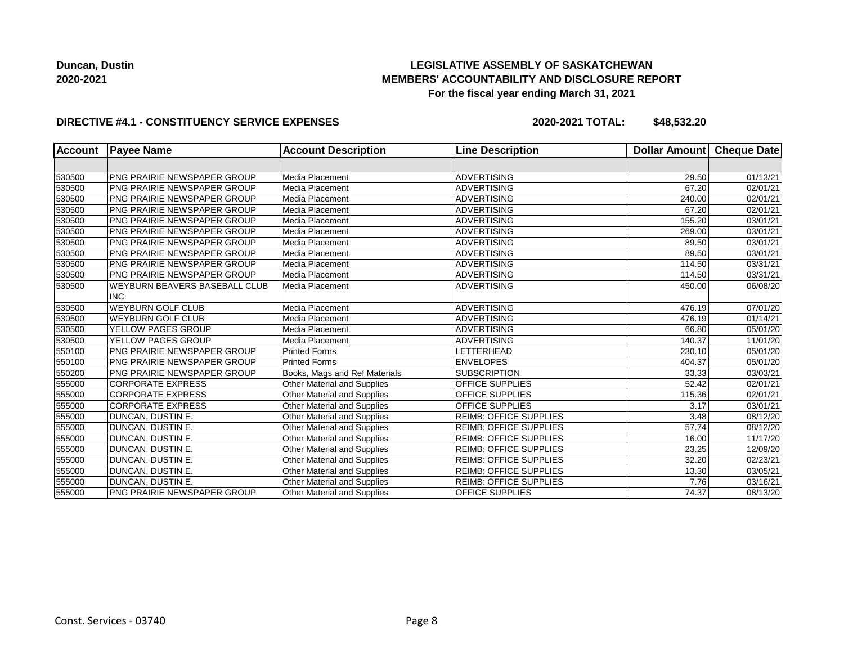## **LEGISLATIVE ASSEMBLY OF SASKATCHEWAN MEMBERS' ACCOUNTABILITY AND DISCLOSURE REPORT For the fiscal year ending March 31, 2021**

### **DIRECTIVE #4.1 - CONSTITUENCY SERVICE EXPENSES**

| <b>Account</b> | <b>Payee Name</b>                    | <b>Account Description</b>         | <b>Line Description</b>       | <b>Dollar Amount</b> | Cheque Date           |
|----------------|--------------------------------------|------------------------------------|-------------------------------|----------------------|-----------------------|
|                |                                      |                                    |                               |                      |                       |
| 530500         | PNG PRAIRIE NEWSPAPER GROUP          | Media Placement                    | <b>ADVERTISING</b>            | 29.50                | 01/13/21              |
| 530500         | <b>PNG PRAIRIE NEWSPAPER GROUP</b>   | Media Placement                    | <b>ADVERTISING</b>            | 67.20                | 02/01/21              |
| 530500         | PNG PRAIRIE NEWSPAPER GROUP          | Media Placement                    | <b>ADVERTISING</b>            | 240.00               | 02/01/21              |
| 530500         | <b>PNG PRAIRIE NEWSPAPER GROUP</b>   | Media Placement                    | <b>ADVERTISING</b>            | 67.20                | 02/01/21              |
| 530500         | PNG PRAIRIE NEWSPAPER GROUP          | Media Placement                    | <b>ADVERTISING</b>            | 155.20               | 03/01/21              |
| 530500         | <b>PNG PRAIRIE NEWSPAPER GROUP</b>   | Media Placement                    | <b>ADVERTISING</b>            | 269.00               | 03/01/21              |
| 530500         | <b>PNG PRAIRIE NEWSPAPER GROUP</b>   | Media Placement                    | <b>ADVERTISING</b>            | 89.50                | 03/01/21              |
| 530500         | PNG PRAIRIE NEWSPAPER GROUP          | Media Placement                    | <b>ADVERTISING</b>            | 89.50                | 03/01/21              |
| 530500         | <b>PNG PRAIRIE NEWSPAPER GROUP</b>   | Media Placement                    | <b>ADVERTISING</b>            | 114.50               | $\overline{03}/31/21$ |
| 530500         | <b>PNG PRAIRIE NEWSPAPER GROUP</b>   | Media Placement                    | <b>ADVERTISING</b>            | 114.50               | 03/31/21              |
| 530500         | <b>WEYBURN BEAVERS BASEBALL CLUB</b> | Media Placement                    | <b>ADVERTISING</b>            | 450.00               | 06/08/20              |
|                | INC.                                 |                                    |                               |                      |                       |
| 530500         | <b>WEYBURN GOLF CLUB</b>             | Media Placement                    | <b>ADVERTISING</b>            | 476.19               | $\overline{07}/01/20$ |
| 530500         | <b>WEYBURN GOLF CLUB</b>             | Media Placement                    | <b>ADVERTISING</b>            | 476.19               | 01/14/21              |
| 530500         | YELLOW PAGES GROUP                   | Media Placement                    | <b>ADVERTISING</b>            | 66.80                | 05/01/20              |
| 530500         | YELLOW PAGES GROUP                   | Media Placement                    | <b>ADVERTISING</b>            | 140.37               | 11/01/20              |
| 550100         | PNG PRAIRIE NEWSPAPER GROUP          | <b>Printed Forms</b>               | LETTERHEAD                    | 230.10               | 05/01/20              |
| 550100         | <b>PNG PRAIRIE NEWSPAPER GROUP</b>   | <b>Printed Forms</b>               | <b>ENVELOPES</b>              | 404.37               | 05/01/20              |
| 550200         | PNG PRAIRIE NEWSPAPER GROUP          | Books, Mags and Ref Materials      | <b>SUBSCRIPTION</b>           | 33.33                | 03/03/21              |
| 555000         | <b>CORPORATE EXPRESS</b>             | Other Material and Supplies        | <b>OFFICE SUPPLIES</b>        | 52.42                | 02/01/21              |
| 555000         | <b>CORPORATE EXPRESS</b>             | Other Material and Supplies        | <b>OFFICE SUPPLIES</b>        | 115.36               | 02/01/21              |
| 555000         | <b>CORPORATE EXPRESS</b>             | Other Material and Supplies        | <b>OFFICE SUPPLIES</b>        | 3.17                 | 03/01/21              |
| 555000         | DUNCAN, DUSTIN E.                    | <b>Other Material and Supplies</b> | <b>REIMB: OFFICE SUPPLIES</b> | 3.48                 | 08/12/20              |
| 555000         | DUNCAN, DUSTIN E.                    | Other Material and Supplies        | <b>REIMB: OFFICE SUPPLIES</b> | 57.74                | 08/12/20              |
| 555000         | <b>DUNCAN, DUSTIN E.</b>             | Other Material and Supplies        | <b>REIMB: OFFICE SUPPLIES</b> | 16.00                | 11/17/20              |
| 555000         | <b>DUNCAN, DUSTIN E.</b>             | Other Material and Supplies        | <b>REIMB: OFFICE SUPPLIES</b> | 23.25                | 12/09/20              |
| 555000         | <b>DUNCAN, DUSTIN E.</b>             | Other Material and Supplies        | <b>REIMB: OFFICE SUPPLIES</b> | 32.20                | 02/23/21              |
| 555000         | DUNCAN, DUSTIN E.                    | Other Material and Supplies        | <b>REIMB: OFFICE SUPPLIES</b> | 13.30                | 03/05/21              |
| 555000         | DUNCAN, DUSTIN E.                    | Other Material and Supplies        | <b>REIMB: OFFICE SUPPLIES</b> | 7.76                 | 03/16/21              |
| 555000         | PNG PRAIRIE NEWSPAPER GROUP          | <b>Other Material and Supplies</b> | <b>OFFICE SUPPLIES</b>        | 74.37                | 08/13/20              |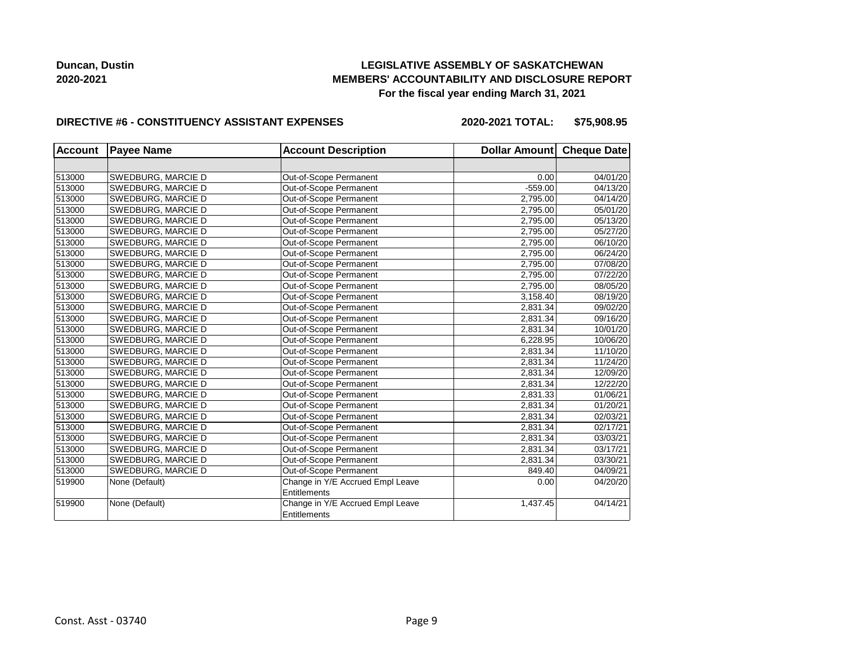## **LEGISLATIVE ASSEMBLY OF SASKATCHEWAN MEMBERS' ACCOUNTABILITY AND DISCLOSURE REPORT For the fiscal year ending March 31, 2021**

#### **DIRECTIVE #6 - CONSTITUENCY ASSISTANT EXPENSES**

**2020-2021 TOTAL: \$75,908.95**

| <b>Account</b> | <b>Payee Name</b>  | <b>Account Description</b>       | Dollar Amount Cheque Date |          |
|----------------|--------------------|----------------------------------|---------------------------|----------|
|                |                    |                                  |                           |          |
| 513000         | SWEDBURG, MARCIE D | Out-of-Scope Permanent           | 0.00                      | 04/01/20 |
| 513000         | SWEDBURG, MARCIE D | Out-of-Scope Permanent           | $-559.00$                 | 04/13/20 |
| 513000         | SWEDBURG, MARCIE D | Out-of-Scope Permanent           | 2,795.00                  | 04/14/20 |
| 513000         | SWEDBURG, MARCIE D | Out-of-Scope Permanent           | 2,795.00                  | 05/01/20 |
| 513000         | SWEDBURG, MARCIE D | Out-of-Scope Permanent           | 2,795.00                  | 05/13/20 |
| 513000         | SWEDBURG, MARCIE D | Out-of-Scope Permanent           | 2,795.00                  | 05/27/20 |
| 513000         | SWEDBURG, MARCIE D | Out-of-Scope Permanent           | 2,795.00                  | 06/10/20 |
| 513000         | SWEDBURG, MARCIE D | Out-of-Scope Permanent           | 2,795.00                  | 06/24/20 |
| 513000         | SWEDBURG, MARCIE D | Out-of-Scope Permanent           | 2,795.00                  | 07/08/20 |
| 513000         | SWEDBURG, MARCIE D | Out-of-Scope Permanent           | 2,795.00                  | 07/22/20 |
| 513000         | SWEDBURG, MARCIE D | Out-of-Scope Permanent           | 2,795.00                  | 08/05/20 |
| 513000         | SWEDBURG, MARCIE D | Out-of-Scope Permanent           | 3,158.40                  | 08/19/20 |
| 513000         | SWEDBURG, MARCIE D | Out-of-Scope Permanent           | 2,831.34                  | 09/02/20 |
| 513000         | SWEDBURG, MARCIE D | Out-of-Scope Permanent           | 2,831.34                  | 09/16/20 |
| 513000         | SWEDBURG, MARCIE D | Out-of-Scope Permanent           | 2,831.34                  | 10/01/20 |
| 513000         | SWEDBURG, MARCIE D | Out-of-Scope Permanent           | 6,228.95                  | 10/06/20 |
| 513000         | SWEDBURG, MARCIE D | Out-of-Scope Permanent           | 2,831.34                  | 11/10/20 |
| 513000         | SWEDBURG, MARCIE D | Out-of-Scope Permanent           | 2,831.34                  | 11/24/20 |
| 513000         | SWEDBURG, MARCIE D | Out-of-Scope Permanent           | 2,831.34                  | 12/09/20 |
| 513000         | SWEDBURG, MARCIE D | Out-of-Scope Permanent           | 2,831.34                  | 12/22/20 |
| 513000         | SWEDBURG, MARCIE D | Out-of-Scope Permanent           | 2,831.33                  | 01/06/21 |
| 513000         | SWEDBURG, MARCIE D | Out-of-Scope Permanent           | 2,831.34                  | 01/20/21 |
| 513000         | SWEDBURG, MARCIE D | Out-of-Scope Permanent           | 2,831.34                  | 02/03/21 |
| 513000         | SWEDBURG, MARCIE D | Out-of-Scope Permanent           | 2,831.34                  | 02/17/21 |
| 513000         | SWEDBURG, MARCIE D | Out-of-Scope Permanent           | 2,831.34                  | 03/03/21 |
| 513000         | SWEDBURG, MARCIE D | Out-of-Scope Permanent           | 2,831.34                  | 03/17/21 |
| 513000         | SWEDBURG, MARCIE D | Out-of-Scope Permanent           | 2,831.34                  | 03/30/21 |
| 513000         | SWEDBURG, MARCIE D | Out-of-Scope Permanent           | 849.40                    | 04/09/21 |
| 519900         | None (Default)     | Change in Y/E Accrued Empl Leave | 0.00                      | 04/20/20 |
|                |                    | <b>Entitlements</b>              |                           |          |
| 519900         | None (Default)     | Change in Y/E Accrued Empl Leave | 1,437.45                  | 04/14/21 |
|                |                    | Entitlements                     |                           |          |